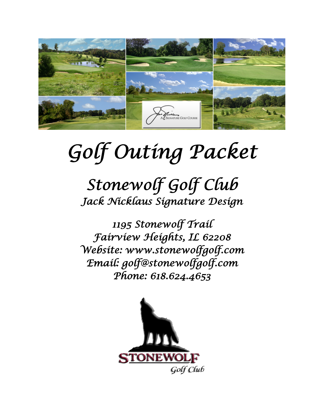

# *Golf Outing Packet*

# *Stonewolf Golf Club Jack Nicklaus Signature Design*

*1195 Stonewolf Trail Fairview Heights, IL 62208 Website: www.stonewolfgolf.com Email: golf@stonewolfgolf.com Phone: 618.624.4653* 

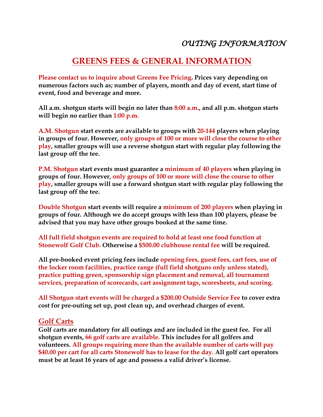### *OUTING INFORMATION*

#### **GREENS FEES & GENERAL INFORMATION**

**Please contact us to inquire about Greens Fee Pricing. Prices vary depending on numerous factors such as; number of players, month and day of event, start time of event, food and beverage and more.**

**All a.m. shotgun starts will begin no later than 8:00 a.m., and all p.m. shotgun starts will begin no earlier than 1:00 p.m.**

**A.M. Shotgun start events are available to groups with 20-144 players when playing in groups of four. However, only groups of 100 or more will close the course to other play, smaller groups will use a reverse shotgun start with regular play following the last group off the tee.**

**P.M. Shotgun start events must guarantee a minimum of 40 players when playing in groups of four. However, only groups of 100 or more will close the course to other play, smaller groups will use a forward shotgun start with regular play following the last group off the tee.**

**Double Shotgun start events will require a minimum of 200 players when playing in groups of four. Although we do accept groups with less than 100 players, please be advised that you may have other groups booked at the same time.**

**All full field shotgun events are required to hold at least one food function at Stonewolf Golf Club. Otherwise a \$500.00 clubhouse rental fee will be required.**

**All pre-booked event pricing fees include opening fees, guest fees, cart fees, use of the locker room facilities, practice range (full field shotguns only unless stated), practice putting green, sponsorship sign placement and removal, all tournament services, preparation of scorecards, cart assignment tags, scoresheets, and scoring.**

**All Shotgun start events will be charged a \$200.00 Outside Service Fee to cover extra cost for pre-outing set up, post clean up, and overhead charges of event.**

#### **Golf Carts**

**Golf carts are mandatory for all outings and are included in the guest fee. For all shotgun events, 66 golf carts are available. This includes for all golfers and volunteers. All groups requiring more than the available number of carts will pay \$40.00 per cart for all carts Stonewolf has to lease for the day. All golf cart operators must be at least 16 years of age and possess a valid driver's license.**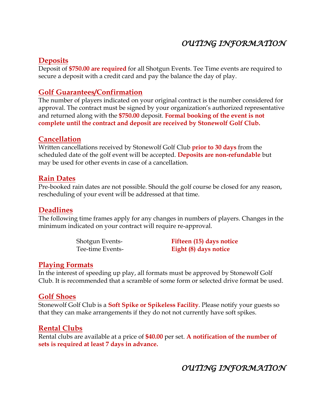## *OUTING INFORMATION*

#### **Deposits**

Deposit of **\$750.00 are required** for all Shotgun Events. Tee Time events are required to secure a deposit with a credit card and pay the balance the day of play.

#### **Golf Guarantees/Confirmation**

The number of players indicated on your original contract is the number considered for approval. The contract must be signed by your organization's authorized representative and returned along with the **\$750.00** deposit. **Formal booking of the event is not complete until the contract and deposit are received by Stonewolf Golf Club.**

#### **Cancellation**

Written cancellations received by Stonewolf Golf Club **prior to 30 days** from the scheduled date of the golf event will be accepted. **Deposits are non-refundable** but may be used for other events in case of a cancellation.

#### **Rain Dates**

Pre-booked rain dates are not possible. Should the golf course be closed for any reason, rescheduling of your event will be addressed at that time.

#### **Deadlines**

The following time frames apply for any changes in numbers of players. Changes in the minimum indicated on your contract will require re-approval.

Shotgun Events- **Fifteen (15) days notice** Tee-time Events- **Eight (8) days notice**

#### **Playing Formats**

In the interest of speeding up play, all formats must be approved by Stonewolf Golf Club. It is recommended that a scramble of some form or selected drive format be used.

#### **Golf Shoes**

Stonewolf Golf Club is a **Soft Spike or Spikeless Facility**. Please notify your guests so that they can make arrangements if they do not not currently have soft spikes.

#### **Rental Clubs**

Rental clubs are available at a price of **\$40.00** per set. **A notification of the number of sets is required at least 7 days in advance.**

*OUTING INFORMATION*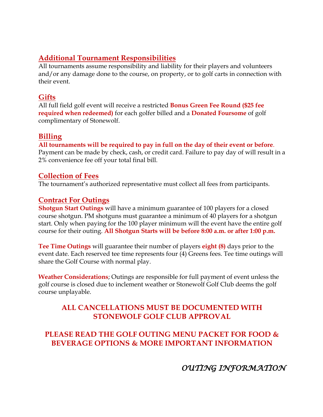#### **Additional Tournament Responsibilities**

All tournaments assume responsibility and liability for their players and volunteers and/or any damage done to the course, on property, or to golf carts in connection with their event.

#### **Gifts**

All full field golf event will receive a restricted **Bonus Green Fee Round (\$25 fee required when redeemed)** for each golfer billed and a **Donated Foursome** of golf complimentary of Stonewolf.

#### **Billing**

**All tournaments will be required to pay in full on the day of their event or before**. Payment can be made by check, cash, or credit card. Failure to pay day of will result in a 2% convenience fee off your total final bill.

#### **Collection of Fees**

The tournament's authorized representative must collect all fees from participants.

#### **Contract For Outings**

**Shotgun Start Outings** will have a minimum guarantee of 100 players for a closed course shotgun. PM shotguns must guarantee a minimum of 40 players for a shotgun start. Only when paying for the 100 player minimum will the event have the entire golf course for their outing. **All Shotgun Starts will be before 8:00 a.m. or after 1:00 p.m.**

**Tee Time Outings** will guarantee their number of players **eight (8)** days prior to the event date. Each reserved tee time represents four (4) Greens fees. Tee time outings will share the Golf Course with normal play.

**Weather Considerations**; Outings are responsible for full payment of event unless the golf course is closed due to inclement weather or Stonewolf Golf Club deems the golf course unplayable.

#### **ALL CANCELLATIONS MUST BE DOCUMENTED WITH STONEWOLF GOLF CLUB APPROVAL**

#### **PLEASE READ THE GOLF OUTING MENU PACKET FOR FOOD & BEVERAGE OPTIONS & MORE IMPORTANT INFORMATION**

*OUTING INFORMATION*